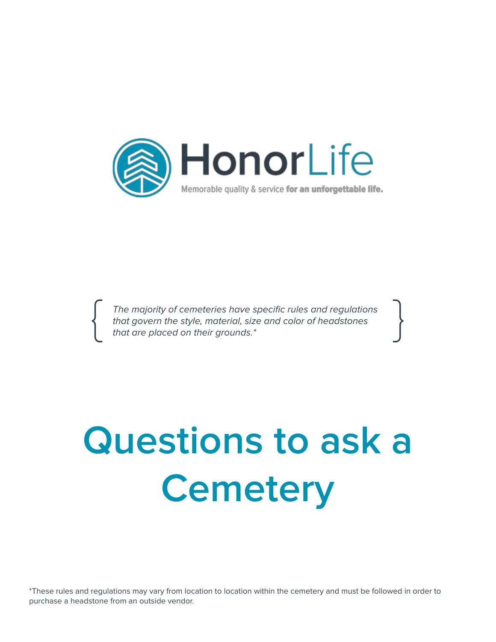

The majority of cemeteries have specific rules and regulations that govern the style, material, size and color of headstones that are placed on their grounds.\*

# **Questions to ask a Cemetery**

\*These rules and regulations may vary from location to location within the cemetery and must be followed in order to purchase a headstone from an outside vendor.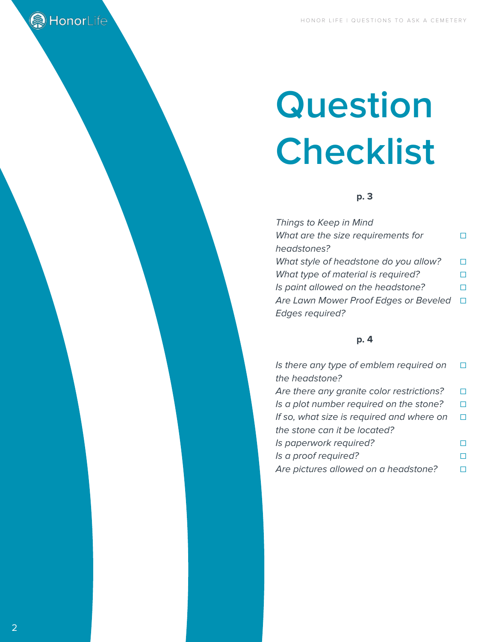# **Question Checklist**

# **p. 3**

| Things to Keep in Mind                |   |
|---------------------------------------|---|
| What are the size requirements for    | n |
| headstones?                           |   |
| What style of headstone do you allow? | П |
| What type of material is required?    | П |
| Is paint allowed on the headstone?    | П |
| Are Lawn Mower Proof Edges or Beveled | □ |
| <b>Edges required?</b>                |   |

# **p. 4**

| Is there any type of emblem required on   |   |
|-------------------------------------------|---|
| the headstone?                            |   |
| Are there any granite color restrictions? |   |
| Is a plot number required on the stone?   |   |
| If so, what size is required and where on | H |
| the stone can it be located?              |   |
| Is paperwork required?                    |   |
| Is a proof required?                      |   |
| Are pictures allowed on a headstone?      |   |

**A** HonorLife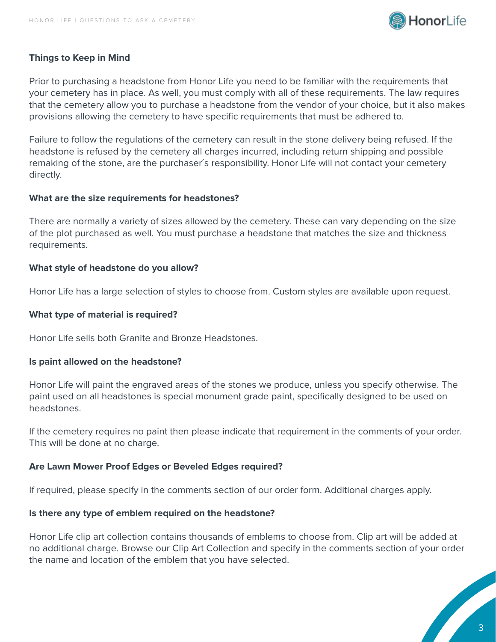

## **Things to Keep in Mind**

Prior to purchasing a headstone from Honor Life you need to be familiar with the requirements that your cemetery has in place. As well, you must comply with all of these requirements. The law requires that the cemetery allow you to purchase a headstone from the vendor of your choice, but it also makes provisions allowing the cemetery to have specific requirements that must be adhered to.

Failure to follow the regulations of the cemetery can result in the stone delivery being refused. If the headstone is refused by the cemetery all charges incurred, including return shipping and possible remaking of the stone, are the purchaser´s responsibility. Honor Life will not contact your cemetery directly.

#### **What are the size requirements for headstones?**

There are normally a variety of sizes allowed by the cemetery. These can vary depending on the size of the plot purchased as well. You must purchase a headstone that matches the size and thickness requirements.

#### **What style of headstone do you allow?**

Honor Life has a large selection of styles to choose from. Custom styles are available upon request.

#### **What type of material is required?**

Honor Life sells both Granite and Bronze Headstones.

#### **Is paint allowed on the headstone?**

Honor Life will paint the engraved areas of the stones we produce, unless you specify otherwise. The paint used on all headstones is special monument grade paint, specifically designed to be used on headstones.

If the cemetery requires no paint then please indicate that requirement in the comments of your order. This will be done at no charge.

### **Are Lawn Mower Proof Edges or Beveled Edges required?**

If required, please specify in the comments section of our order form. Additional charges apply.

#### **Is there any type of emblem required on the headstone?**

Honor Life clip art collection contains thousands of emblems to choose from. Clip art will be added at no additional charge. Browse our Clip Art Collection and specify in the comments section of your order the name and location of the emblem that you have selected.